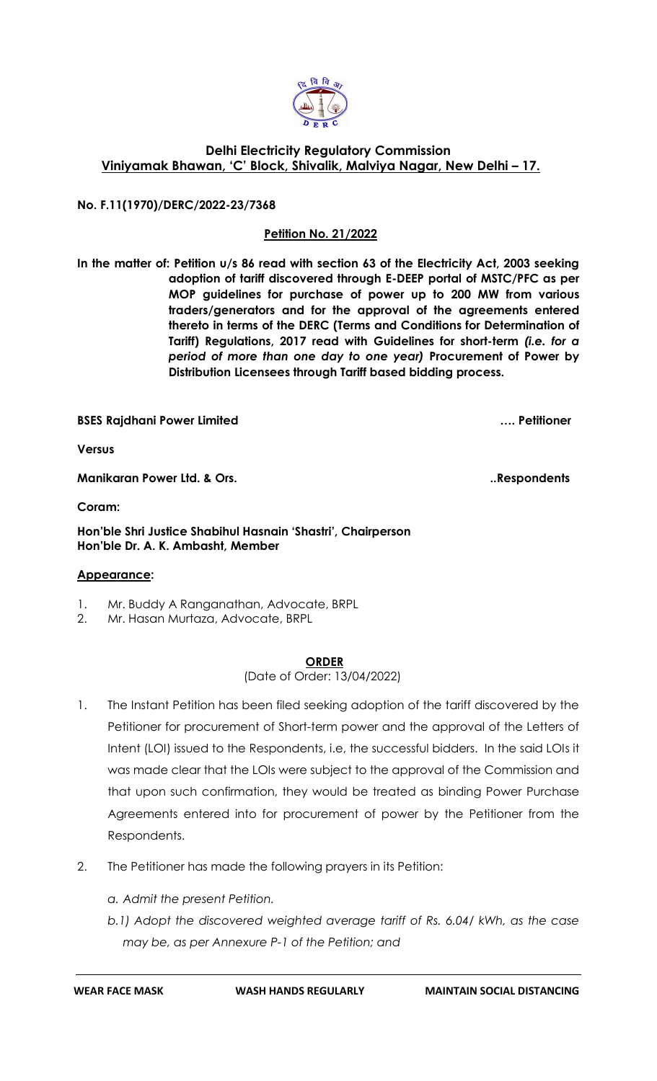

# **Delhi Electricity Regulatory Commission Viniyamak Bhawan, 'C' Block, Shivalik, Malviya Nagar, New Delhi – 17.**

**No. F.11(1970)/DERC/2022-23/7368**

# **Petition No. 21/2022**

**In the matter of: Petition u/s 86 read with section 63 of the Electricity Act, 2003 seeking adoption of tariff discovered through E-DEEP portal of MSTC/PFC as per MOP guidelines for purchase of power up to 200 MW from various traders/generators and for the approval of the agreements entered thereto in terms of the DERC (Terms and Conditions for Determination of Tariff) Regulations, 2017 read with Guidelines for short-term** *(i.e. for a period of more than one day to one year)* **Procurement of Power by Distribution Licensees through Tariff based bidding process.**

**BSES Rajdhani Power Limited …. Petitioner**

**Versus**

**Manikaran Power Ltd. & Ors.** 2008 2008 2012 2022 2023 2024 2022 2023. Respondents

**Coram:** 

**Hon'ble Shri Justice Shabihul Hasnain 'Shastri', Chairperson Hon'ble Dr. A. K. Ambasht, Member**

### **Appearance:**

- 1. Mr. Buddy A Ranganathan, Advocate, BRPL
- 2. Mr. Hasan Murtaza, Advocate, BRPL

#### **ORDER**

(Date of Order: 13/04/2022)

- 1. The Instant Petition has been filed seeking adoption of the tariff discovered by the Petitioner for procurement of Short-term power and the approval of the Letters of Intent (LOI) issued to the Respondents, i.e, the successful bidders. In the said LOIs it was made clear that the LOIs were subject to the approval of the Commission and that upon such confirmation, they would be treated as binding Power Purchase Agreements entered into for procurement of power by the Petitioner from the Respondents.
- 2. The Petitioner has made the following prayers in its Petition:
	- *a. Admit the present Petition.*
	- *b.1) Adopt the discovered weighted average tariff of Rs. 6.04/ kWh, as the case may be, as per Annexure P-1 of the Petition; and*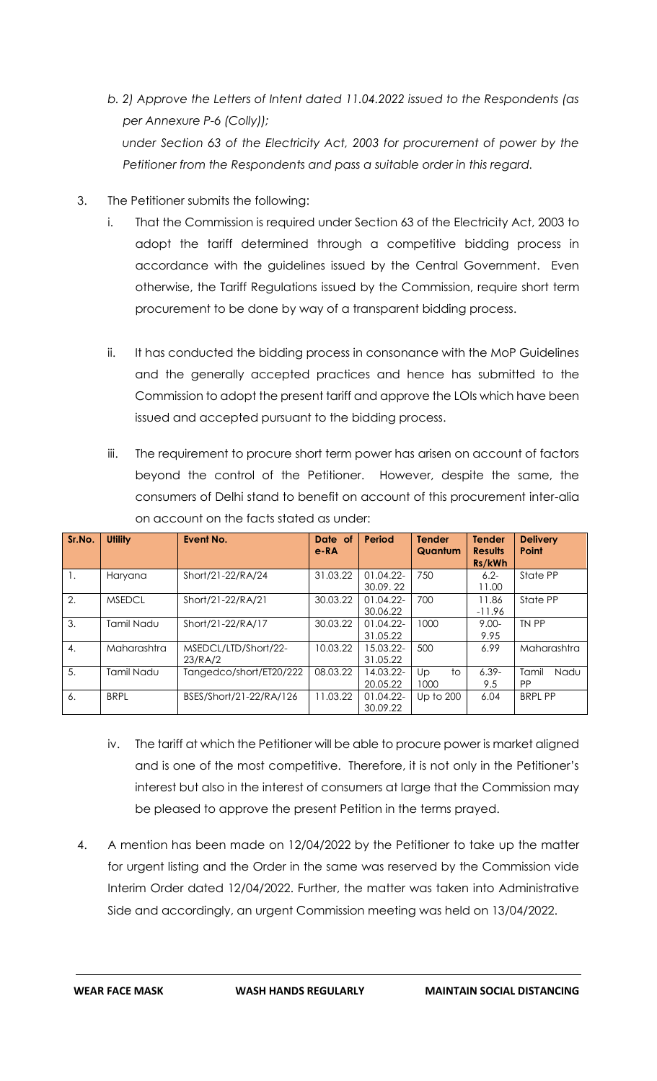- *b. 2) Approve the Letters of Intent dated 11.04.2022 issued to the Respondents (as per Annexure P-6 (Colly)); under Section 63 of the Electricity Act, 2003 for procurement of power by the Petitioner from the Respondents and pass a suitable order in this regard.*
- 3. The Petitioner submits the following:
	- i. That the Commission is required under Section 63 of the Electricity Act, 2003 to adopt the tariff determined through a competitive bidding process in accordance with the guidelines issued by the Central Government. Even otherwise, the Tariff Regulations issued by the Commission, require short term procurement to be done by way of a transparent bidding process.
	- ii. It has conducted the bidding process in consonance with the MoP Guidelines and the generally accepted practices and hence has submitted to the Commission to adopt the present tariff and approve the LOIs which have been issued and accepted pursuant to the bidding process.
	- iii. The requirement to procure short term power has arisen on account of factors beyond the control of the Petitioner. However, despite the same, the consumers of Delhi stand to benefit on account of this procurement inter-alia on account on the facts stated as under:

| Sr.No.           | <b>Utility</b> | Event No.               | Date of<br>$e$ -RA | Period       | <b>Tender</b><br>Quantum | <b>Tender</b><br><b>Results</b><br>Rs/kWh | <b>Delivery</b><br>Point |
|------------------|----------------|-------------------------|--------------------|--------------|--------------------------|-------------------------------------------|--------------------------|
| 1.               | Haryana        | Short/21-22/RA/24       | 31.03.22           | 01.04.22-    | 750                      | $6.2 -$                                   | State PP                 |
|                  |                |                         |                    | 30.09.22     |                          | 11.00                                     |                          |
| 2.               | <b>MSEDCL</b>  | Short/21-22/RA/21       | 30.03.22           | $01.04.22 -$ | 700                      | 11.86                                     | State PP                 |
|                  |                |                         |                    | 30.06.22     |                          | $-11.96$                                  |                          |
| 3.               | Tamil Nadu     | Short/21-22/RA/17       | 30.03.22           | $01.04.22 -$ | 1000                     | $9.00 -$                                  | TN PP                    |
|                  |                |                         |                    | 31.05.22     |                          | 9.95                                      |                          |
| $\overline{4}$ . | Maharashtra    | MSEDCL/LTD/Short/22-    | 10.03.22           | 15.03.22-    | 500                      | 6.99                                      | Maharashtra              |
|                  |                | 23/RA/2                 |                    | 31.05.22     |                          |                                           |                          |
| 5.               | Tamil Nadu     | Tangedco/short/ET20/222 | 08.03.22           | 14.03.22-    | Up<br>to                 | $6.39-$                                   | Tamil<br>Nadu            |
|                  |                |                         |                    | 20.05.22     | 1000                     | 9.5                                       | <b>PP</b>                |
| 6.               | <b>BRPL</b>    | BSES/Short/21-22/RA/126 | 11.03.22           | 01.04.22-    | Up to 200                | 6.04                                      | <b>BRPL PP</b>           |
|                  |                |                         |                    | 30.09.22     |                          |                                           |                          |

- iv. The tariff at which the Petitioner will be able to procure power is market aligned and is one of the most competitive. Therefore, it is not only in the Petitioner's interest but also in the interest of consumers at large that the Commission may be pleased to approve the present Petition in the terms prayed.
- 4. A mention has been made on 12/04/2022 by the Petitioner to take up the matter for urgent listing and the Order in the same was reserved by the Commission vide Interim Order dated 12/04/2022. Further, the matter was taken into Administrative Side and accordingly, an urgent Commission meeting was held on 13/04/2022.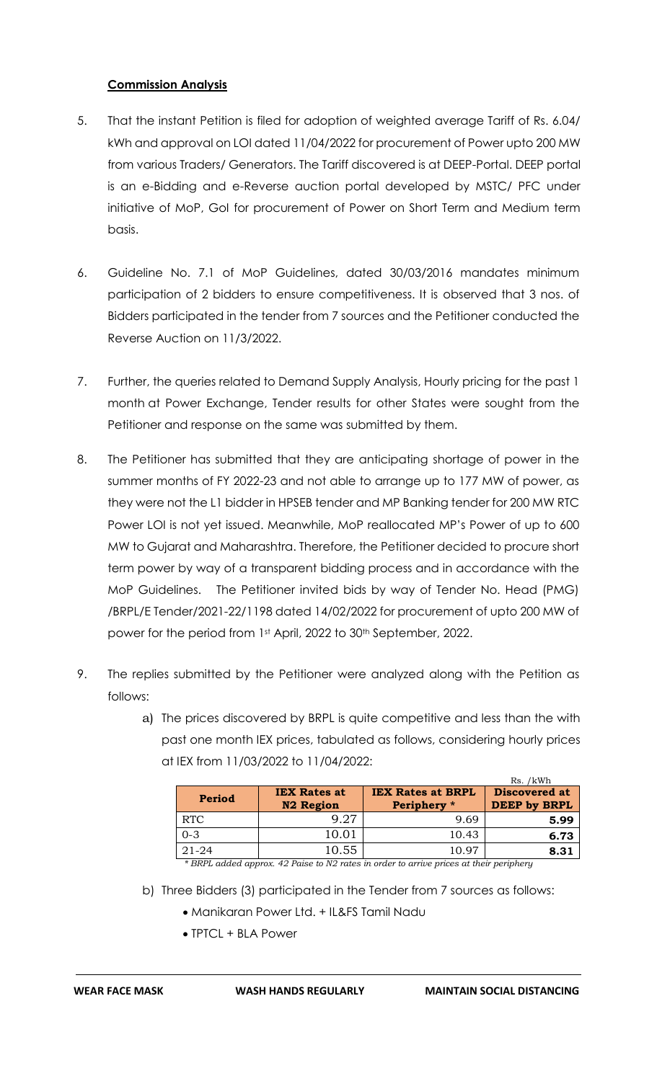# **Commission Analysis**

- 5. That the instant Petition is filed for adoption of weighted average Tariff of Rs. 6.04/ kWh and approval on LOI dated 11/04/2022 for procurement of Power upto 200 MW from various Traders/ Generators. The Tariff discovered is at DEEP-Portal. DEEP portal is an e-Bidding and e-Reverse auction portal developed by MSTC/ PFC under initiative of MoP, GoI for procurement of Power on Short Term and Medium term basis.
- 6. Guideline No. 7.1 of MoP Guidelines, dated 30/03/2016 mandates minimum participation of 2 bidders to ensure competitiveness. It is observed that 3 nos. of Bidders participated in the tender from 7 sources and the Petitioner conducted the Reverse Auction on 11/3/2022.
- 7. Further, the queries related to Demand Supply Analysis, Hourly pricing for the past 1 month at Power Exchange, Tender results for other States were sought from the Petitioner and response on the same was submitted by them.
- 8. The Petitioner has submitted that they are anticipating shortage of power in the summer months of FY 2022-23 and not able to arrange up to 177 MW of power, as they were not the L1 bidder in HPSEB tender and MP Banking tender for 200 MW RTC Power LOI is not yet issued. Meanwhile, MoP reallocated MP's Power of up to 600 MW to Gujarat and Maharashtra. Therefore, the Petitioner decided to procure short term power by way of a transparent bidding process and in accordance with the MoP Guidelines. The Petitioner invited bids by way of Tender No. Head (PMG) /BRPL/E Tender/2021-22/1198 dated 14/02/2022 for procurement of upto 200 MW of power for the period from 1st April, 2022 to 30<sup>th</sup> September, 2022.
- 9. The replies submitted by the Petitioner were analyzed along with the Petition as follows:
	- a) The prices discovered by BRPL is quite competitive and less than the with past one month IEX prices, tabulated as follows, considering hourly prices at IEX from 11/03/2022 to 11/04/2022:

|            |                                         |                                         | Rs. /kWh                                    |
|------------|-----------------------------------------|-----------------------------------------|---------------------------------------------|
| Period     | <b>IEX Rates at</b><br><b>N2 Region</b> | <b>IEX Rates at BRPL</b><br>Periphery * | <b>Discovered at</b><br><b>DEEP by BRPL</b> |
| <b>RTC</b> | Q 27                                    | 9.69                                    | 5.99                                        |
| $0 - 3$    | 10.01                                   | 10.43                                   | 6.73                                        |
| $21 - 24$  | 10.55                                   | 10.97                                   | 8.31                                        |

*\* BRPL added approx. 42 Paise to N2 rates in order to arrive prices at their periphery*

- b) Three Bidders (3) participated in the Tender from 7 sources as follows:
	- Manikaran Power Ltd. + IL&FS Tamil Nadu
	- TPTCL + BLA Power